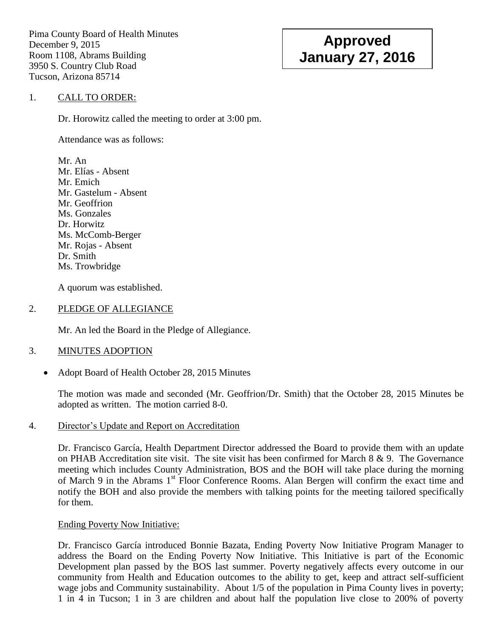Pima County Board of Health Minutes December 9, 2015 Room 1108, Abrams Building 3950 S. Country Club Road Tucson, Arizona 85714

# **Approved January 27, 2016**

# 1. CALL TO ORDER:

Dr. Horowitz called the meeting to order at 3:00 pm.

Attendance was as follows:

Mr. An Mr. Elías - Absent Mr. Emich Mr. Gastelum - Absent Mr. Geoffrion Ms. Gonzales Dr. Horwitz Ms. McComb-Berger Mr. Rojas - Absent Dr. Smith Ms. Trowbridge

A quorum was established.

# 2. PLEDGE OF ALLEGIANCE

Mr. An led the Board in the Pledge of Allegiance.

# 3. MINUTES ADOPTION

Adopt Board of Health October 28, 2015 Minutes

The motion was made and seconded (Mr. Geoffrion/Dr. Smith) that the October 28, 2015 Minutes be adopted as written. The motion carried 8-0.

4. Director"s Update and Report on Accreditation

Dr. Francisco García, Health Department Director addressed the Board to provide them with an update on PHAB Accreditation site visit. The site visit has been confirmed for March 8 & 9. The Governance meeting which includes County Administration, BOS and the BOH will take place during the morning of March 9 in the Abrams 1<sup>st</sup> Floor Conference Rooms. Alan Bergen will confirm the exact time and notify the BOH and also provide the members with talking points for the meeting tailored specifically for them.

# Ending Poverty Now Initiative:

Dr. Francisco García introduced Bonnie Bazata, Ending Poverty Now Initiative Program Manager to address the Board on the Ending Poverty Now Initiative. This Initiative is part of the Economic Development plan passed by the BOS last summer. Poverty negatively affects every outcome in our community from Health and Education outcomes to the ability to get, keep and attract self-sufficient wage jobs and Community sustainability. About 1/5 of the population in Pima County lives in poverty; 1 in 4 in Tucson; 1 in 3 are children and about half the population live close to 200% of poverty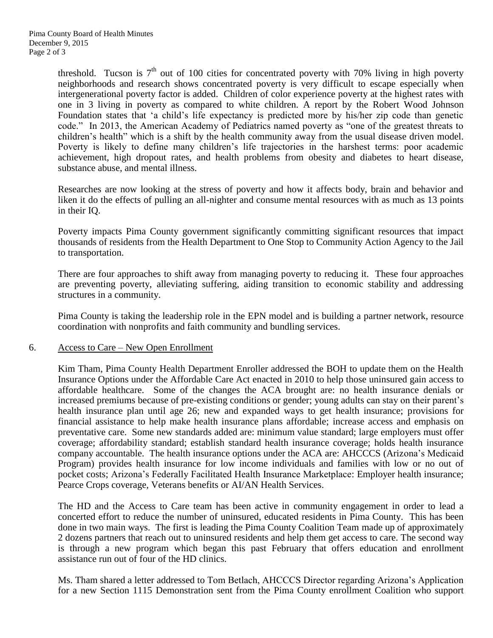threshold. Tucson is  $7<sup>th</sup>$  out of 100 cities for concentrated poverty with 70% living in high poverty neighborhoods and research shows concentrated poverty is very difficult to escape especially when intergenerational poverty factor is added. Children of color experience poverty at the highest rates with one in 3 living in poverty as compared to white children. A report by the Robert Wood Johnson Foundation states that "a child"s life expectancy is predicted more by his/her zip code than genetic code." In 2013, the American Academy of Pediatrics named poverty as "one of the greatest threats to children"s health" which is a shift by the health community away from the usual disease driven model. Poverty is likely to define many children's life trajectories in the harshest terms: poor academic achievement, high dropout rates, and health problems from obesity and diabetes to heart disease, substance abuse, and mental illness.

Researches are now looking at the stress of poverty and how it affects body, brain and behavior and liken it do the effects of pulling an all-nighter and consume mental resources with as much as 13 points in their IQ.

Poverty impacts Pima County government significantly committing significant resources that impact thousands of residents from the Health Department to One Stop to Community Action Agency to the Jail to transportation.

There are four approaches to shift away from managing poverty to reducing it. These four approaches are preventing poverty, alleviating suffering, aiding transition to economic stability and addressing structures in a community.

Pima County is taking the leadership role in the EPN model and is building a partner network, resource coordination with nonprofits and faith community and bundling services.

#### 6. Access to Care – New Open Enrollment

Kim Tham, Pima County Health Department Enroller addressed the BOH to update them on the Health Insurance Options under the Affordable Care Act enacted in 2010 to help those uninsured gain access to affordable healthcare. Some of the changes the ACA brought are: no health insurance denials or increased premiums because of pre-existing conditions or gender; young adults can stay on their parent's health insurance plan until age 26; new and expanded ways to get health insurance; provisions for financial assistance to help make health insurance plans affordable; increase access and emphasis on preventative care. Some new standards added are: minimum value standard; large employers must offer coverage; affordability standard; establish standard health insurance coverage; holds health insurance company accountable. The health insurance options under the ACA are: AHCCCS (Arizona"s Medicaid Program) provides health insurance for low income individuals and families with low or no out of pocket costs; Arizona"s Federally Facilitated Health Insurance Marketplace: Employer health insurance; Pearce Crops coverage, Veterans benefits or AI/AN Health Services.

The HD and the Access to Care team has been active in community engagement in order to lead a concerted effort to reduce the number of uninsured, educated residents in Pima County. This has been done in two main ways. The first is leading the Pima County Coalition Team made up of approximately 2 dozens partners that reach out to uninsured residents and help them get access to care. The second way is through a new program which began this past February that offers education and enrollment assistance run out of four of the HD clinics.

Ms. Tham shared a letter addressed to Tom Betlach, AHCCCS Director regarding Arizona"s Application for a new Section 1115 Demonstration sent from the Pima County enrollment Coalition who support